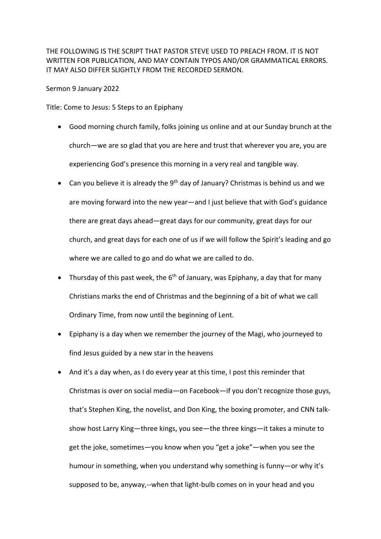THE FOLLOWING IS THE SCRIPT THAT PASTOR STEVE USED TO PREACH FROM. IT IS NOT WRITTEN FOR PUBLICATION, AND MAY CONTAIN TYPOS AND/OR GRAMMATICAL ERRORS. IT MAY ALSO DIFFER SLIGHTLY FROM THE RECORDED SERMON.

Sermon 9 January 2022

Title: Come to Jesus: 5 Steps to an Epiphany

- Good morning church family, folks joining us online and at our Sunday brunch at the church—we are so glad that you are here and trust that wherever you are, you are experiencing God's presence this morning in a very real and tangible way.
- Can you believe it is already the  $9<sup>th</sup>$  day of January? Christmas is behind us and we are moving forward into the new year—and I just believe that with God's guidance there are great days ahead—great days for our community, great days for our church, and great days for each one of us if we will follow the Spirit's leading and go where we are called to go and do what we are called to do.
- Thursday of this past week, the  $6<sup>th</sup>$  of January, was Epiphany, a day that for many Christians marks the end of Christmas and the beginning of a bit of what we call Ordinary Time, from now until the beginning of Lent.
- Epiphany is a day when we remember the journey of the Magi, who journeyed to find Jesus guided by a new star in the heavens
- And it's a day when, as I do every year at this time, I post this reminder that Christmas is over on social media—on Facebook—if you don't recognize those guys, that's Stephen King, the novelist, and Don King, the boxing promoter, and CNN talkshow host Larry King—three kings, you see—the three kings—it takes a minute to get the joke, sometimes—you know when you "get a joke"—when you see the humour in something, when you understand why something is funny—or why it's supposed to be, anyway,--when that light-bulb comes on in your head and you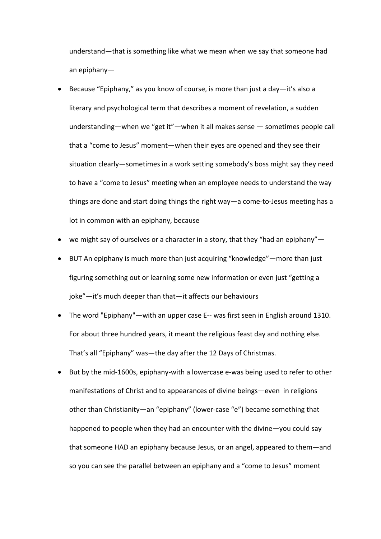understand—that is something like what we mean when we say that someone had an epiphany—

- Because "Epiphany," as you know of course, is more than just a day—it's also a literary and psychological term that describes a moment of revelation, a sudden understanding—when we "get it"—when it all makes sense — sometimes people call that a "come to Jesus" moment—when their eyes are opened and they see their situation clearly—sometimes in a work setting somebody's boss might say they need to have a "come to Jesus" meeting when an employee needs to understand the way things are done and start doing things the right way—a come-to-Jesus meeting has a lot in common with an epiphany, because
- we might say of ourselves or a character in a story, that they "had an epiphany"—
- BUT An epiphany is much more than just acquiring "knowledge"—more than just figuring something out or learning some new information or even just "getting a joke"—it's much deeper than that—it affects our behaviours
- The word "Epiphany"—with an upper case E-- was first seen in English around 1310. For about three hundred years, it meant the religious feast day and nothing else. That's all "Epiphany" was—the day after the 12 Days of Christmas.
- But by the mid-1600s, epiphany-with a lowercase e-was being used to refer to other manifestations of Christ and to appearances of divine beings—even in religions other than Christianity—an "epiphany" (lower-case "e") became something that happened to people when they had an encounter with the divine—you could say that someone HAD an epiphany because Jesus, or an angel, appeared to them—and so you can see the parallel between an epiphany and a "come to Jesus" moment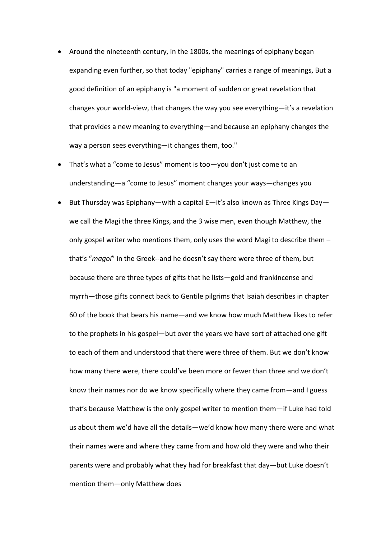- Around the nineteenth century, in the 1800s, the meanings of epiphany began expanding even further, so that today "epiphany" carries a range of meanings, But a good definition of an epiphany is "a moment of sudden or great revelation that changes your world-view, that changes the way you see everything—it's a revelation that provides a new meaning to everything—and because an epiphany changes the way a person sees everything—it changes them, too."
- That's what a "come to Jesus" moment is too—you don't just come to an understanding—a "come to Jesus" moment changes your ways—changes you
- But Thursday was Epiphany—with a capital  $E it's$  also known as Three Kings Day we call the Magi the three Kings, and the 3 wise men, even though Matthew, the only gospel writer who mentions them, only uses the word Magi to describe them – that's "*magoi*" in the Greek--and he doesn't say there were three of them, but because there are three types of gifts that he lists—gold and frankincense and myrrh—those gifts connect back to Gentile pilgrims that Isaiah describes in chapter 60 of the book that bears his name—and we know how much Matthew likes to refer to the prophets in his gospel—but over the years we have sort of attached one gift to each of them and understood that there were three of them. But we don't know how many there were, there could've been more or fewer than three and we don't know their names nor do we know specifically where they came from—and I guess that's because Matthew is the only gospel writer to mention them—if Luke had told us about them we'd have all the details—we'd know how many there were and what their names were and where they came from and how old they were and who their parents were and probably what they had for breakfast that day—but Luke doesn't mention them—only Matthew does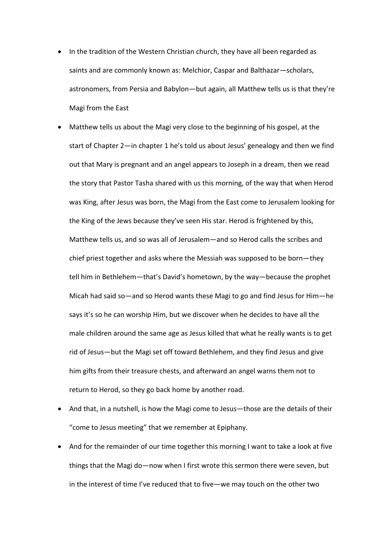- In the tradition of the Western Christian church, they have all been regarded as saints and are commonly known as: Melchior, Caspar and Balthazar—scholars, astronomers, from Persia and Babylon—but again, all Matthew tells us is that they're Magi from the East
- Matthew tells us about the Magi very close to the beginning of his gospel, at the start of Chapter 2—in chapter 1 he's told us about Jesus' genealogy and then we find out that Mary is pregnant and an angel appears to Joseph in a dream, then we read the story that Pastor Tasha shared with us this morning, of the way that when Herod was King, after Jesus was born, the Magi from the East come to Jerusalem looking for the King of the Jews because they've seen His star. Herod is frightened by this, Matthew tells us, and so was all of Jerusalem—and so Herod calls the scribes and chief priest together and asks where the Messiah was supposed to be born—they tell him in Bethlehem—that's David's hometown, by the way—because the prophet Micah had said so—and so Herod wants these Magi to go and find Jesus for Him—he says it's so he can worship Him, but we discover when he decides to have all the male children around the same age as Jesus killed that what he really wants is to get rid of Jesus—but the Magi set off toward Bethlehem, and they find Jesus and give him gifts from their treasure chests, and afterward an angel warns them not to return to Herod, so they go back home by another road.
- And that, in a nutshell, is how the Magi come to Jesus—those are the details of their "come to Jesus meeting" that we remember at Epiphany.
- And for the remainder of our time together this morning I want to take a look at five things that the Magi do—now when I first wrote this sermon there were seven, but in the interest of time I've reduced that to five—we may touch on the other two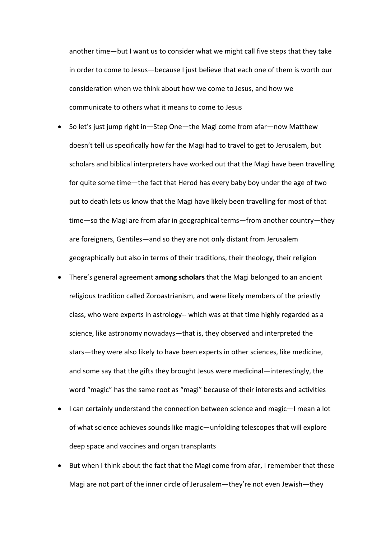another time—but I want us to consider what we might call five steps that they take in order to come to Jesus—because I just believe that each one of them is worth our consideration when we think about how we come to Jesus, and how we communicate to others what it means to come to Jesus

- So let's just jump right in—Step One—the Magi come from afar—now Matthew doesn't tell us specifically how far the Magi had to travel to get to Jerusalem, but scholars and biblical interpreters have worked out that the Magi have been travelling for quite some time—the fact that Herod has every baby boy under the age of two put to death lets us know that the Magi have likely been travelling for most of that time—so the Magi are from afar in geographical terms—from another country—they are foreigners, Gentiles—and so they are not only distant from Jerusalem geographically but also in terms of their traditions, their theology, their religion
- There's general agreement **among scholars** that the Magi belonged to an ancient religious tradition called Zoroastrianism, and were likely members of the priestly class, who were experts in astrology-- which was at that time highly regarded as a science, like astronomy nowadays—that is, they observed and interpreted the stars—they were also likely to have been experts in other sciences, like medicine, and some say that the gifts they brought Jesus were medicinal—interestingly, the word "magic" has the same root as "magi" because of their interests and activities
- I can certainly understand the connection between science and magic—I mean a lot of what science achieves sounds like magic—unfolding telescopes that will explore deep space and vaccines and organ transplants
- But when I think about the fact that the Magi come from afar, I remember that these Magi are not part of the inner circle of Jerusalem—they're not even Jewish—they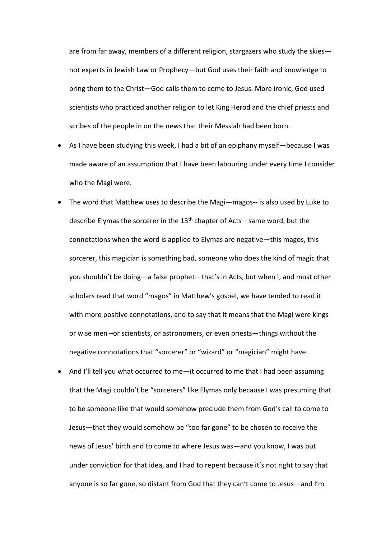are from far away, members of a different religion, stargazers who study the skies not experts in Jewish Law or Prophecy—but God uses their faith and knowledge to bring them to the Christ—God calls them to come to Jesus. More ironic, God used scientists who practiced another religion to let King Herod and the chief priests and scribes of the people in on the news that their Messiah had been born.

- As I have been studying this week, I had a bit of an epiphany myself—because I was made aware of an assumption that I have been labouring under every time I consider who the Magi were.
- The word that Matthew uses to describe the Magi—magos-- is also used by Luke to describe Elymas the sorcerer in the  $13<sup>th</sup>$  chapter of Acts—same word, but the connotations when the word is applied to Elymas are negative—this magos, this sorcerer, this magician is something bad, someone who does the kind of magic that you shouldn't be doing—a false prophet—that's in Acts, but when I, and most other scholars read that word "magos" in Matthew's gospel, we have tended to read it with more positive connotations, and to say that it means that the Magi were kings or wise men –or scientists, or astronomers, or even priests—things without the negative connotations that "sorcerer" or "wizard" or "magician" might have.
- And I'll tell you what occurred to me—it occurred to me that I had been assuming that the Magi couldn't be "sorcerers" like Elymas only because I was presuming that to be someone like that would somehow preclude them from God's call to come to Jesus—that they would somehow be "too far gone" to be chosen to receive the news of Jesus' birth and to come to where Jesus was—and you know, I was put under conviction for that idea, and I had to repent because it's not right to say that anyone is so far gone, so distant from God that they can't come to Jesus—and I'm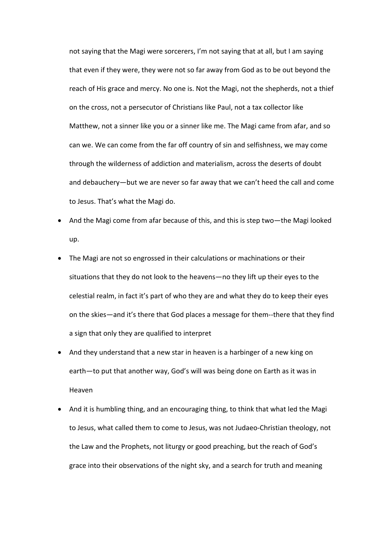not saying that the Magi were sorcerers, I'm not saying that at all, but I am saying that even if they were, they were not so far away from God as to be out beyond the reach of His grace and mercy. No one is. Not the Magi, not the shepherds, not a thief on the cross, not a persecutor of Christians like Paul, not a tax collector like Matthew, not a sinner like you or a sinner like me. The Magi came from afar, and so can we. We can come from the far off country of sin and selfishness, we may come through the wilderness of addiction and materialism, across the deserts of doubt and debauchery—but we are never so far away that we can't heed the call and come to Jesus. That's what the Magi do.

- And the Magi come from afar because of this, and this is step two—the Magi looked up.
- The Magi are not so engrossed in their calculations or machinations or their situations that they do not look to the heavens—no they lift up their eyes to the celestial realm, in fact it's part of who they are and what they do to keep their eyes on the skies—and it's there that God places a message for them--there that they find a sign that only they are qualified to interpret
- And they understand that a new star in heaven is a harbinger of a new king on earth—to put that another way, God's will was being done on Earth as it was in Heaven
- And it is humbling thing, and an encouraging thing, to think that what led the Magi to Jesus, what called them to come to Jesus, was not Judaeo-Christian theology, not the Law and the Prophets, not liturgy or good preaching, but the reach of God's grace into their observations of the night sky, and a search for truth and meaning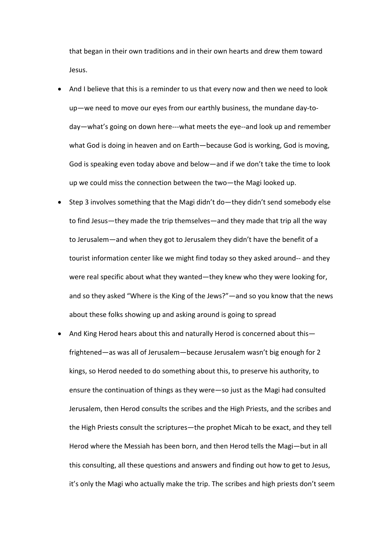that began in their own traditions and in their own hearts and drew them toward Jesus.

- And I believe that this is a reminder to us that every now and then we need to look up—we need to move our eyes from our earthly business, the mundane day-today—what's going on down here---what meets the eye--and look up and remember what God is doing in heaven and on Earth—because God is working, God is moving, God is speaking even today above and below—and if we don't take the time to look up we could miss the connection between the two—the Magi looked up.
- Step 3 involves something that the Magi didn't do—they didn't send somebody else to find Jesus—they made the trip themselves—and they made that trip all the way to Jerusalem—and when they got to Jerusalem they didn't have the benefit of a tourist information center like we might find today so they asked around-- and they were real specific about what they wanted—they knew who they were looking for, and so they asked "Where is the King of the Jews?"—and so you know that the news about these folks showing up and asking around is going to spread
- And King Herod hears about this and naturally Herod is concerned about this frightened—as was all of Jerusalem—because Jerusalem wasn't big enough for 2 kings, so Herod needed to do something about this, to preserve his authority, to ensure the continuation of things as they were—so just as the Magi had consulted Jerusalem, then Herod consults the scribes and the High Priests, and the scribes and the High Priests consult the scriptures—the prophet Micah to be exact, and they tell Herod where the Messiah has been born, and then Herod tells the Magi—but in all this consulting, all these questions and answers and finding out how to get to Jesus, it's only the Magi who actually make the trip. The scribes and high priests don't seem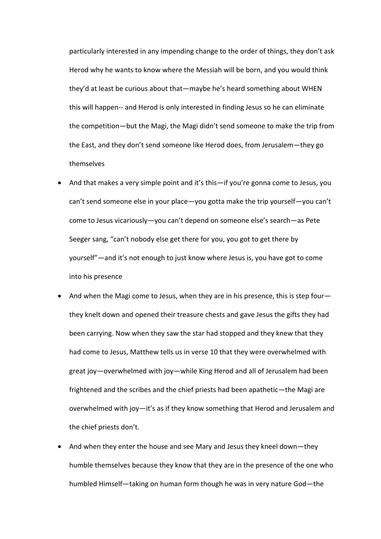particularly interested in any impending change to the order of things, they don't ask Herod why he wants to know where the Messiah will be born, and you would think they'd at least be curious about that—maybe he's heard something about WHEN this will happen-- and Herod is only interested in finding Jesus so he can eliminate the competition—but the Magi, the Magi didn't send someone to make the trip from the East, and they don't send someone like Herod does, from Jerusalem—they go themselves

- And that makes a very simple point and it's this—if you're gonna come to Jesus, you can't send someone else in your place—you gotta make the trip yourself—you can't come to Jesus vicariously—you can't depend on someone else's search—as Pete Seeger sang, "can't nobody else get there for you, you got to get there by yourself"—and it's not enough to just know where Jesus is, you have got to come into his presence
- And when the Magi come to Jesus, when they are in his presence, this is step four they knelt down and opened their treasure chests and gave Jesus the gifts they had been carrying. Now when they saw the star had stopped and they knew that they had come to Jesus, Matthew tells us in verse 10 that they were overwhelmed with great joy—overwhelmed with joy—while King Herod and all of Jerusalem had been frightened and the scribes and the chief priests had been apathetic—the Magi are overwhelmed with joy—it's as if they know something that Herod and Jerusalem and the chief priests don't.
- And when they enter the house and see Mary and Jesus they kneel down—they humble themselves because they know that they are in the presence of the one who humbled Himself—taking on human form though he was in very nature God—the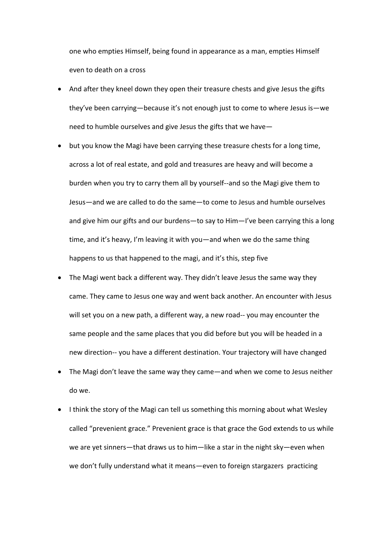one who empties Himself, being found in appearance as a man, empties Himself even to death on a cross

- And after they kneel down they open their treasure chests and give Jesus the gifts they've been carrying—because it's not enough just to come to where Jesus is—we need to humble ourselves and give Jesus the gifts that we have—
- but you know the Magi have been carrying these treasure chests for a long time, across a lot of real estate, and gold and treasures are heavy and will become a burden when you try to carry them all by yourself--and so the Magi give them to Jesus—and we are called to do the same—to come to Jesus and humble ourselves and give him our gifts and our burdens—to say to Him—I've been carrying this a long time, and it's heavy, I'm leaving it with you—and when we do the same thing happens to us that happened to the magi, and it's this, step five
- The Magi went back a different way. They didn't leave Jesus the same way they came. They came to Jesus one way and went back another. An encounter with Jesus will set you on a new path, a different way, a new road-- you may encounter the same people and the same places that you did before but you will be headed in a new direction-- you have a different destination. Your trajectory will have changed
- The Magi don't leave the same way they came—and when we come to Jesus neither do we.
- I think the story of the Magi can tell us something this morning about what Wesley called "prevenient grace." Prevenient grace is that grace the God extends to us while we are yet sinners—that draws us to him—like a star in the night sky—even when we don't fully understand what it means—even to foreign stargazers practicing